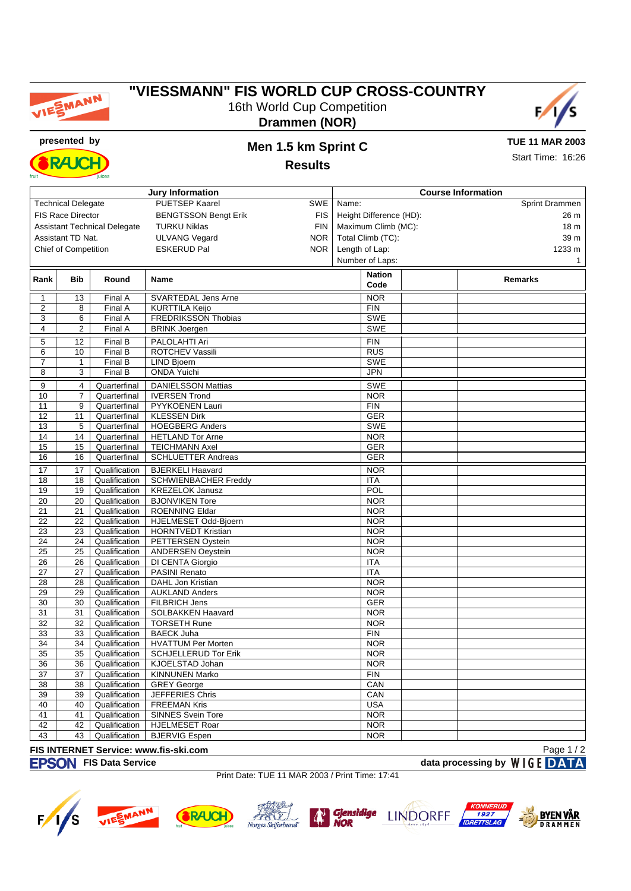

# **"VIESSMANN" FIS WORLD CUP CROSS-COUNTRY** 16th World Cup Competition



**Drammen (NOR)**



# **presented by Men 1.5 km Sprint C**

**TUE 11 MAR 2003** Start Time: 16:26

**Results**

| <b>Jury Information</b>                           |                           |                                     |                                              |            | <b>Course Information</b>           |                         |                |              |  |  |
|---------------------------------------------------|---------------------------|-------------------------------------|----------------------------------------------|------------|-------------------------------------|-------------------------|----------------|--------------|--|--|
|                                                   | <b>Technical Delegate</b> |                                     | PUETSEP Kaarel                               | SWE        | Name:                               |                         | Sprint Drammen |              |  |  |
|                                                   | <b>FIS Race Director</b>  |                                     | <b>BENGTSSON Bengt Erik</b>                  | FIS        |                                     | Height Difference (HD): |                | 26 m         |  |  |
|                                                   |                           | <b>Assistant Technical Delegate</b> | <b>TURKU Niklas</b>                          | <b>FIN</b> |                                     | Maximum Climb (MC):     |                | 18 m         |  |  |
|                                                   | Assistant TD Nat.         |                                     | <b>ULVANG Vegard</b>                         | <b>NOR</b> |                                     |                         |                | 39 m         |  |  |
|                                                   |                           |                                     |                                              |            | Total Climb (TC):<br>Length of Lap: |                         |                |              |  |  |
| <b>Chief of Competition</b><br><b>ESKERUD Pal</b> |                           |                                     | NOR.                                         |            |                                     |                         | 1233 m         |              |  |  |
|                                                   |                           |                                     |                                              |            |                                     | Number of Laps:         |                | $\mathbf{1}$ |  |  |
| Rank                                              | <b>Bib</b>                | Round                               | Name                                         |            |                                     | <b>Nation</b>           | <b>Remarks</b> |              |  |  |
|                                                   |                           |                                     |                                              |            |                                     | Code                    |                |              |  |  |
| 1                                                 | 13                        | Final A                             | SVARTEDAL Jens Arne                          |            |                                     | <b>NOR</b>              |                |              |  |  |
| 2                                                 | 8                         | Final A                             | <b>KURTTILA Keijo</b>                        |            |                                     | <b>FIN</b>              |                |              |  |  |
| 3                                                 | 6                         | Final A                             | <b>FREDRIKSSON Thobias</b>                   |            |                                     | SWE                     |                |              |  |  |
| 4                                                 | $\overline{c}$            | Final A                             | <b>BRINK Joergen</b>                         |            |                                     | SWE                     |                |              |  |  |
| 5                                                 | 12                        | Final B                             | PALOLAHTI Ari                                |            |                                     | <b>FIN</b>              |                |              |  |  |
| 6                                                 | 10                        | Final B                             | ROTCHEV Vassili                              |            |                                     | <b>RUS</b>              |                |              |  |  |
| 7                                                 | 1                         | Final B                             | <b>LIND Bjoern</b>                           |            |                                     | <b>SWE</b>              |                |              |  |  |
| 8                                                 | 3                         | Final B                             | <b>ONDA Yuichi</b>                           |            |                                     | <b>JPN</b>              |                |              |  |  |
| 9                                                 | 4                         | Quarterfinal                        | <b>DANIELSSON Mattias</b>                    |            |                                     | <b>SWE</b>              |                |              |  |  |
| 10                                                | $\overline{7}$            | Quarterfinal                        | <b>IVERSEN Trond</b>                         |            |                                     | <b>NOR</b>              |                |              |  |  |
| 11                                                | 9                         | Quarterfinal                        | PYYKOENEN Lauri                              |            |                                     | <b>FIN</b>              |                |              |  |  |
| 12                                                | 11                        | Quarterfinal                        | <b>KLESSEN Dirk</b>                          |            |                                     | <b>GER</b>              |                |              |  |  |
| 13                                                | 5                         | Quarterfinal                        | <b>HOEGBERG Anders</b>                       |            |                                     | SWE                     |                |              |  |  |
| 14                                                | 14                        | Quarterfinal                        | <b>HETLAND Tor Arne</b>                      |            |                                     | <b>NOR</b>              |                |              |  |  |
| 15                                                | 15                        | Quarterfinal                        | <b>TEICHMANN Axel</b>                        |            |                                     | <b>GER</b>              |                |              |  |  |
| 16                                                | 16                        | Quarterfinal                        | <b>SCHLUETTER Andreas</b>                    |            |                                     | <b>GER</b>              |                |              |  |  |
|                                                   |                           |                                     |                                              |            |                                     |                         |                |              |  |  |
| 17                                                | 17                        | Qualification                       | <b>BJERKELI Haavard</b>                      |            |                                     | <b>NOR</b>              |                |              |  |  |
| 18                                                | 18                        | Qualification                       | <b>SCHWIENBACHER Freddy</b>                  |            |                                     | ITA                     |                |              |  |  |
| 19                                                | 19                        | Qualification                       | <b>KREZELOK Janusz</b>                       |            |                                     | POL                     |                |              |  |  |
| 20                                                | 20                        | Qualification                       | <b>BJONVIKEN Tore</b>                        |            |                                     | <b>NOR</b>              |                |              |  |  |
| 21                                                | 21                        | Qualification                       | <b>ROENNING Eldar</b>                        |            |                                     | <b>NOR</b>              |                |              |  |  |
| 22                                                | $\overline{22}$           | Qualification                       | HJELMESET Odd-Bjoern                         |            |                                     | <b>NOR</b>              |                |              |  |  |
| 23                                                | 23                        | Qualification                       | <b>HORNTVEDT Kristian</b>                    |            |                                     | <b>NOR</b>              |                |              |  |  |
| 24                                                | 24                        | Qualification                       | PETTERSEN Oystein                            |            |                                     | <b>NOR</b>              |                |              |  |  |
| $\overline{25}$                                   | $\overline{25}$           | Qualification                       | <b>ANDERSEN Oeystein</b>                     |            |                                     | <b>NOR</b>              |                |              |  |  |
| 26                                                | 26                        | Qualification                       | DI CENTA Giorgio                             |            |                                     | <b>ITA</b>              |                |              |  |  |
| 27                                                | 27                        | Qualification                       | <b>PASINI Renato</b>                         |            |                                     | ITA                     |                |              |  |  |
| 28                                                | 28                        | Qualification                       | DAHL Jon Kristian                            |            |                                     | <b>NOR</b>              |                |              |  |  |
| 29                                                | 29                        | Qualification                       | <b>AUKLAND Anders</b>                        |            |                                     | <b>NOR</b>              |                |              |  |  |
| 30                                                | 30                        | Qualification                       | FILBRICH Jens                                |            |                                     | <b>GER</b>              |                |              |  |  |
| 31                                                | 31                        | Qualification                       | SOLBAKKEN Haavard                            |            |                                     | <b>NOR</b>              |                |              |  |  |
| 32                                                | 32                        | Qualification                       | <b>TORSETH Rune</b>                          |            |                                     | <b>NOR</b>              |                |              |  |  |
| 33                                                | 33                        | Qualification                       | <b>BAECK Juha</b>                            |            |                                     | <b>FIN</b>              |                |              |  |  |
| 34                                                | 34                        | Qualification                       | <b>HVATTUM Per Morten</b>                    |            |                                     | <b>NOR</b>              |                |              |  |  |
| 35                                                | 35                        | Qualification                       | <b>SCHJELLERUD Tor Erik</b>                  |            |                                     | <b>NOR</b>              |                |              |  |  |
| 36                                                | 36                        | Qualification                       | KJOELSTAD Johan                              |            |                                     | <b>NOR</b>              |                |              |  |  |
| 37                                                | 37                        | Qualification                       | <b>KINNUNEN Marko</b>                        |            |                                     | <b>FIN</b>              |                |              |  |  |
| 38                                                | 38                        | Qualification                       | <b>GREY George</b>                           |            |                                     | CAN                     |                |              |  |  |
| 39                                                | 39                        | Qualification                       | JEFFERIES Chris                              |            |                                     | CAN                     |                |              |  |  |
| 40                                                | 40                        | Qualification                       | <b>FREEMAN Kris</b>                          |            |                                     | <b>USA</b>              |                |              |  |  |
| 41                                                | 41                        | Qualification                       | <b>SINNES Svein Tore</b>                     |            |                                     | <b>NOR</b>              |                |              |  |  |
| 42                                                | 42                        | Qualification                       | <b>HJELMESET Roar</b>                        |            |                                     | <b>NOR</b>              |                |              |  |  |
| 43                                                | 43                        | Qualification                       | <b>BJERVIG Espen</b>                         |            |                                     | <b>NOR</b>              |                |              |  |  |
|                                                   |                           |                                     | <b>EIS INTEDNET Service: www.fis-ski.com</b> |            |                                     |                         |                | $P$ ane 1/2  |  |  |

#### **FIS INTERNET Service: www.fis-ski.com FIS Data Service data processing by**

Page 1 / 2

Print Date: TUE 11 MAR 2003 / Print Time: 17:41